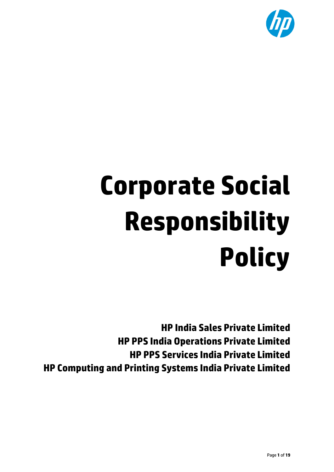

# **Corporate Social Responsibility Policy**

**HP India Sales Private Limited HP PPS India Operations Private Limited HP PPS Services India Private Limited HP Computing and Printing Systems India Private Limited**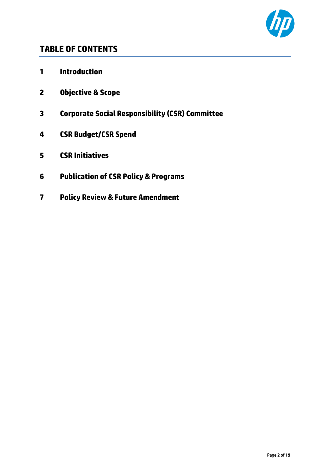

## **TABLE OF CONTENTS**

- **Introduction**
- **Objective & Scope**
- **Corporate Social Responsibility (CSR) Committee**
- **CSR Budget/CSR Spend**
- **CSR Initiatives**
- **Publication of CSR Policy & Programs**
- **Policy Review & Future Amendment**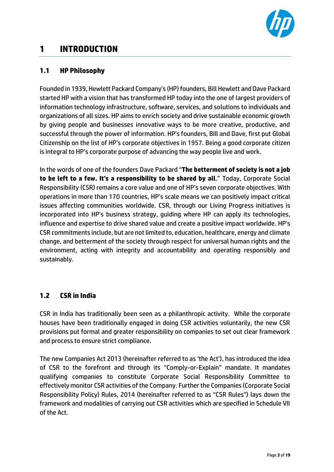

## **1 INTRODUCTION**

#### **1.1 HP Philosophy**

Founded in 1939, Hewlett Packard Company's (HP) founders, Bill Hewlett and Dave Packard started HP with a vision that has transformed HP today into the one of largest providers of information technology infrastructure, software, services, and solutions to individuals and organizations of all sizes. HP aims to enrich society and drive sustainable economic growth by giving people and businesses innovative ways to be more creative, productive, and successful through the power of information. HP's founders, Bill and Dave, first put Global Citizenship on the list of HP's corporate objectives in 1957. Being a good corporate citizen is integral to HP's corporate purpose of advancing the way people live and work.

In the words of one of the founders Dave Packard "**The betterment of society is not a job to be left to a few. It's a responsibility to be shared by all**." Today, Corporate Social Responsibility (CSR) remains a core value and one of HP's seven corporate objectives. With operations in more than 170 countries, HP's scale means we can positively impact critical issues affecting communities worldwide. CSR, through our Living Progress initiatives is incorporated into HP's business strategy, guiding where HP can apply its technologies, influence and expertise to drive shared value and create a positive impact worldwide. HP's CSR commitments include, but are not limited to, education, healthcare, energy and climate change, and betterment of the society through respect for universal human rights and the environment, acting with integrity and accountability and operating responsibly and sustainably.

#### **1.2 CSR in India**

CSR in India has traditionally been seen as a philanthropic activity. While the corporate houses have been traditionally engaged in doing CSR activities voluntarily, the new CSR provisions put formal and greater responsibility on companies to set out clear framework and process to ensure strict compliance.

The new Companies Act 2013 (hereinafter referred to as 'the Act'), has introduced the idea of CSR to the forefront and through its "Comply-or-Explain" mandate. It mandates qualifying companies to constitute Corporate Social Responsibility Committee to effectively monitor CSR activities of the Company. Further the Companies (Corporate Social Responsibility Policy) Rules, 2014 (hereinafter referred to as "CSR Rules") lays down the framework and modalities of carrying out CSR activities which are specified in Schedule VII of the Act.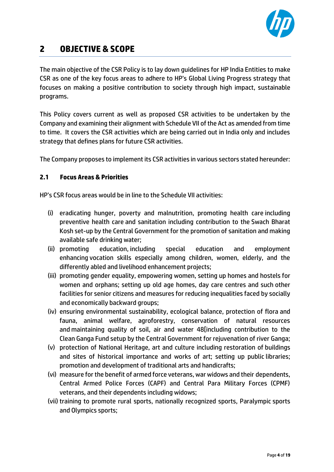

## **2 OBJECTIVE & SCOPE**

The main objective of the CSR Policy is to lay down guidelines for HP India Entities to make CSR as one of the key focus areas to adhere to HP's Global Living Progress strategy that focuses on making a positive contribution to society through high impact, sustainable programs.

This Policy covers current as well as proposed CSR activities to be undertaken by the Company and examining their alignment with Schedule VII of the Act as amended from time to time. It covers the CSR activities which are being carried out in India only and includes strategy that defines plans for future CSR activities.

The Company proposes to implement its CSR activities in various sectors stated hereunder:

#### **2.1 Focus Areas & Priorities**

HP's CSR focus areas would be in line to the Schedule VII activities:

- (i) eradicating hunger, poverty and malnutrition, promoting health care including preventive health care and sanitation including contribution to the Swach Bharat Kosh set-up by the Central Government for the promotion of sanitation and making available safe drinking water;
- (ii) promoting education, including special education and employment enhancing vocation skills especially among children, women, elderly, and the differently abled and livelihood enhancement projects;
- (iii) promoting gender equality, empowering women, setting up homes and hostels for women and orphans; setting up old age homes, day care centres and such other facilities for senior citizens and measures for reducing inequalities faced by socially and economically backward groups;
- (iv) ensuring environmental sustainability, ecological balance, protection of flora and fauna, animal welfare, agroforestry, conservation of natural resources and maintaining quality of soil, air and water 48[including contribution to the Clean Ganga Fund setup by the Central Government for rejuvenation of river Ganga;
- (v) protection of National Heritage, art and culture including restoration of buildings and sites of historical importance and works of art; setting up public libraries; promotion and development of traditional arts and handicrafts;
- (vi) measure for the benefit of armed force veterans, war widows and their dependents, Central Armed Police Forces (CAPF) and Central Para Military Forces (CPMF) veterans, and their dependents including widows;
- (vii) training to promote rural sports, nationally recognized sports, Paralympic sports and Olympics sports;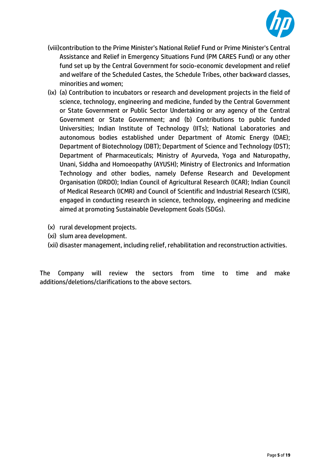

- (viii)contribution to the Prime Minister's National Relief Fund or Prime Minister's Central Assistance and Relief in Emergency Situations Fund (PM CARES Fund) or any other fund set up by the Central Government for socio-economic development and relief and welfare of the Scheduled Castes, the Schedule Tribes, other backward classes, minorities and women;
- (ix) (a) Contribution to incubators or research and development projects in the field of science, technology, engineering and medicine, funded by the Central Government or State Government or Public Sector Undertaking or any agency of the Central Government or State Government; and (b) Contributions to public funded Universities; Indian Institute of Technology (IITs); National Laboratories and autonomous bodies established under Department of Atomic Energy (DAE); Department of Biotechnology (DBT); Department of Science and Technology (DST); Department of Pharmaceuticals; Ministry of Ayurveda, Yoga and Naturopathy, Unani, Siddha and Homoeopathy (AYUSH); Ministry of Electronics and Information Technology and other bodies, namely Defense Research and Development Organisation (DRDO); Indian Council of Agricultural Research (ICAR); Indian Council of Medical Research (ICMR) and Council of Scientific and Industrial Research (CSIR), engaged in conducting research in science, technology, engineering and medicine aimed at promoting Sustainable Development Goals (SDGs).
- (x) rural development projects.
- (xi) slum area development.
- (xii) disaster management, including relief, rehabilitation and reconstruction activities.

The Company will review the sectors from time to time and make additions/deletions/clarifications to the above sectors.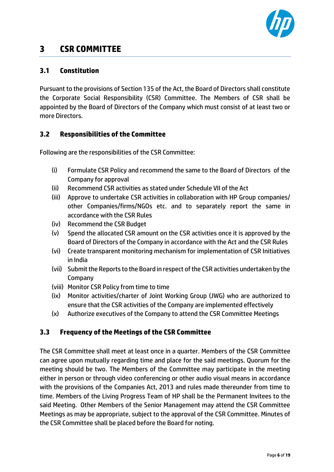

## **3 CSR COMMITTEE**

#### **3.1 Constitution**

Pursuant to the provisions of Section 135 of the Act, the Board of Directors shall constitute the Corporate Social Responsibility (CSR) Committee. The Members of CSR shall be appointed by the Board of Directors of the Company which must consist of at least two or more Directors.

#### **3.2 Responsibilities of the Committee**

Following are the responsibilities of the CSR Committee:

- (i) Formulate CSR Policy and recommend the same to the Board of Directors of the Company for approval
- (ii) Recommend CSR activities as stated under Schedule VII of the Act
- (iii) Approve to undertake CSR activities in collaboration with HP Group companies/ other Companies/firms/NGOs etc. and to separately report the same in accordance with the CSR Rules
- (iv) Recommend the CSR Budget
- (v) Spend the allocated CSR amount on the CSR activities once it is approved by the Board of Directors of the Company in accordance with the Act and the CSR Rules
- (vi) Create transparent monitoring mechanism for implementation of CSR Initiatives in India
- (vii) Submit the Reports to the Board in respect of the CSR activities undertaken by the Company
- (viii) Monitor CSR Policy from time to time
- (ix) Monitor activities/charter of Joint Working Group (JWG) who are authorized to ensure that the CSR activities of the Company are implemented effectively
- (x) Authorize executives of the Company to attend the CSR Committee Meetings

### **3.3 Frequency of the Meetings of the CSR Committee**

The CSR Committee shall meet at least once in a quarter. Members of the CSR Committee can agree upon mutually regarding time and place for the said meetings. Quorum for the meeting should be two. The Members of the Committee may participate in the meeting either in person or through video conferencing or other audio visual means in accordance with the provisions of the Companies Act, 2013 and rules made thereunder from time to time. Members of the Living Progress Team of HP shall be the Permanent Invitees to the said Meeting. Other Members of the Senior Management may attend the CSR Committee Meetings as may be appropriate, subject to the approval of the CSR Committee. Minutes of the CSR Committee shall be placed before the Board for noting.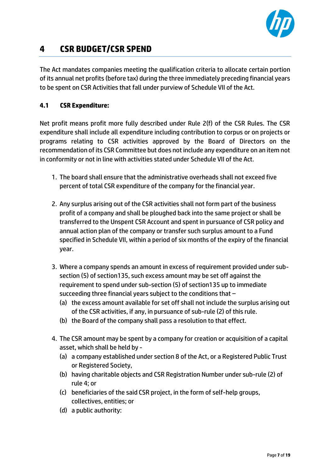

# **4 CSR BUDGET/CSR SPEND**

The Act mandates companies meeting the qualification criteria to allocate certain portion of its annual net profits (before tax) during the three immediately preceding financial years to be spent on CSR Activities that fall under purview of Schedule VII of the Act.

#### **4.1 CSR Expenditure:**

Net profit means profit more fully described under Rule 2(f) of the CSR Rules. The CSR expenditure shall include all expenditure including contribution to corpus or on projects or programs relating to CSR activities approved by the Board of Directors on the recommendation of its CSR Committee but does not include any expenditure on an item not in conformity or not in line with activities stated under Schedule VII of the Act.

- 1. The board shall ensure that the administrative overheads shall not exceed five percent of total CSR expenditure of the company for the financial year.
- 2. Any surplus arising out of the CSR activities shall not form part of the business profit of a company and shall be ploughed back into the same project or shall be transferred to the Unspent CSR Account and spent in pursuance of CSR policy and annual action plan of the company or transfer such surplus amount to a Fund specified in Schedule VII, within a period of six months of the expiry of the financial year.
- 3. Where a company spends an amount in excess of requirement provided under subsection (5) of section135, such excess amount may be set off against the requirement to spend under sub-section (5) of section135 up to immediate succeeding three financial years subject to the conditions that –
	- (a) the excess amount available for set off shall not include the surplus arising out of the CSR activities, if any, in pursuance of sub-rule (2) of this rule.
	- (b) the Board of the company shall pass a resolution to that effect.
- 4. The CSR amount may be spent by a company for creation or acquisition of a capital asset, which shall be held by -
	- (a) a company established under section 8 of the Act, or a Registered Public Trust or Registered Society,
	- (b) having charitable objects and CSR Registration Number under sub-rule (2) of rule 4; or
	- (c) beneficiaries of the said CSR project, in the form of self-help groups, collectives, entities; or
	- (d) a public authority: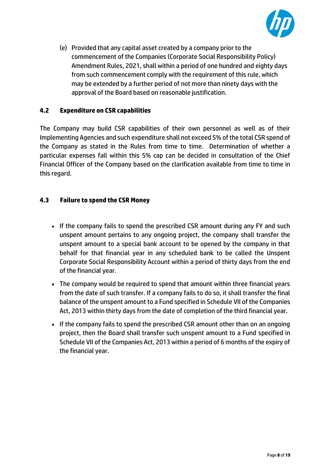

(e) Provided that any capital asset created by a company prior to the commencement of the Companies (Corporate Social Responsibility Policy) Amendment Rules, 2021, shall within a period of one hundred and eighty days from such commencement comply with the requirement of this rule, which may be extended by a further period of not more than ninety days with the approval of the Board based on reasonable justification.

#### **4.2 Expenditure on CSR capabilities**

The Company may build CSR capabilities of their own personnel as well as of their Implementing Agencies and such expenditure shall not exceed 5% of the total CSR spend of the Company as stated in the Rules from time to time. Determination of whether a particular expenses fall within this 5% cap can be decided in consultation of the Chief Financial Officer of the Company based on the clarification available from time to time in this regard.

#### **4.3 Failure to spend the CSR Money**

- If the company fails to spend the prescribed CSR amount during any FY and such unspent amount pertains to any ongoing project, the company shall transfer the unspent amount to a special bank account to be opened by the company in that behalf for that financial year in any scheduled bank to be called the Unspent Corporate Social Responsibility Account within a period of thirty days from the end of the financial year.
- The company would be required to spend that amount within three financial years from the date of such transfer. If a company fails to do so, it shall transfer the final balance of the unspent amount to a Fund specified in Schedule VII of the Companies Act, 2013 within thirty days from the date of completion of the third financial year.
- If the company fails to spend the prescribed CSR amount other than on an ongoing project, then the Board shall transfer such unspent amount to a Fund specified in Schedule VII of the Companies Act, 2013 within a period of 6 months of the expiry of the financial year.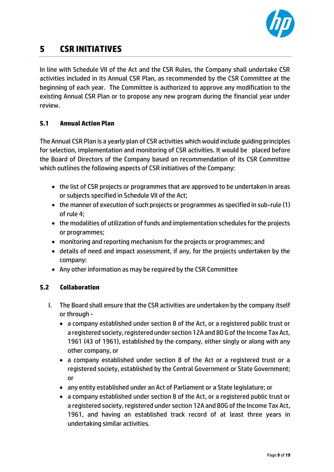

# **5 CSR INITIATIVES**

In line with Schedule VII of the Act and the CSR Rules, the Company shall undertake CSR activities included in its Annual CSR Plan, as recommended by the CSR Committee at the beginning of each year. The Committee is authorized to approve any modification to the existing Annual CSR Plan or to propose any new program during the financial year under review.

#### **5.1 Annual Action Plan**

The Annual CSR Plan is a yearly plan of CSR activities which would include guiding principles for selection, implementation and monitoring of CSR activities. It would be placed before the Board of Directors of the Company based on recommendation of its CSR Committee which outlines the following aspects of CSR initiatives of the Company:

- the list of CSR projects or programmes that are approved to be undertaken in areas or subjects specified in Schedule VII of the Act;
- the manner of execution of such projects or programmes as specified in sub-rule (1) of rule 4;
- the modalities of utilization of funds and implementation schedules for the projects or programmes;
- monitoring and reporting mechanism for the projects or programmes; and
- details of need and impact assessment, if any, for the projects undertaken by the company:
- Any other information as may be required by the CSR Committee

#### **5.2 Collaboration**

- I. The Board shall ensure that the CSR activities are undertaken by the company itself or through -
	- a company established under section 8 of the Act, or a registered public trust or a registered society, registered under section 12A and 80 G of the Income Tax Act, 1961 (43 of 1961), established by the company, either singly or along with any other company, or
	- a company established under section 8 of the Act or a registered trust or a registered society, established by the Central Government or State Government; or
	- any entity established under an Act of Parliament or a State legislature; or
	- a company established under section 8 of the Act, or a registered public trust or a registered society, registered under section 12A and 80G of the Income Tax Act, 1961, and having an established track record of at least three years in undertaking similar activities.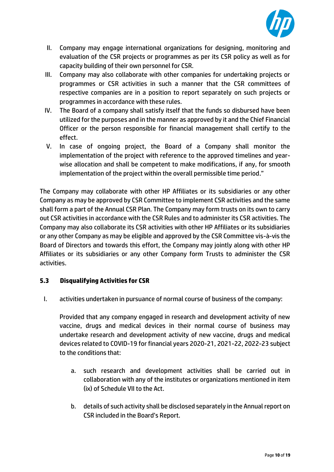

- II. Company may engage international organizations for designing, monitoring and evaluation of the CSR projects or programmes as per its CSR policy as well as for capacity building of their own personnel for CSR.
- III. Company may also collaborate with other companies for undertaking projects or programmes or CSR activities in such a manner that the CSR committees of respective companies are in a position to report separately on such projects or programmes in accordance with these rules.
- IV. The Board of a company shall satisfy itself that the funds so disbursed have been utilized for the purposes and in the manner as approved by it and the Chief Financial Officer or the person responsible for financial management shall certify to the effect.
- V. In case of ongoing project, the Board of a Company shall monitor the implementation of the project with reference to the approved timelines and yearwise allocation and shall be competent to make modifications, if any, for smooth implementation of the project within the overall permissible time period."

The Company may collaborate with other HP Affiliates or its subsidiaries or any other Company as may be approved by CSR Committee to implement CSR activities and the same shall form a part of the Annual CSR Plan. The Company may form trusts on its own to carry out CSR activities in accordance with the CSR Rules and to administer its CSR activities. The Company may also collaborate its CSR activities with other HP Affiliates or its subsidiaries or any other Company as may be eligible and approved by the CSR Committee vis-à-vis the Board of Directors and towards this effort, the Company may jointly along with other HP Affiliates or its subsidiaries or any other Company form Trusts to administer the CSR activities.

#### **5.3 Disqualifying Activities for CSR**

I. activities undertaken in pursuance of normal course of business of the company:

Provided that any company engaged in research and development activity of new vaccine, drugs and medical devices in their normal course of business may undertake research and development activity of new vaccine, drugs and medical devices related to COVID-19 for financial years 2020-21, 2021-22, 2022-23 subject to the conditions that:

- a. such research and development activities shall be carried out in collaboration with any of the institutes or organizations mentioned in item (ix) of Schedule VII to the Act.
- b. details of such activity shall be disclosed separately in the Annual report on CSR included in the Board's Report.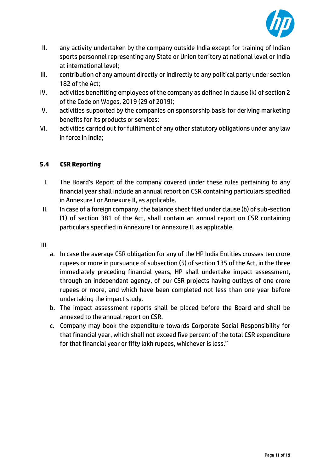

- II. any activity undertaken by the company outside India except for training of Indian sports personnel representing any State or Union territory at national level or India at international level;
- III. contribution of any amount directly or indirectly to any political party under section 182 of the Act;
- IV. activities benefitting employees of the company as defined in clause (k) of section 2 of the Code on Wages, 2019 (29 of 2019);
- V. activities supported by the companies on sponsorship basis for deriving marketing benefits for its products or services;
- VI. activities carried out for fulfilment of any other statutory obligations under any law in force in India;

#### **5.4 CSR Reporting**

- I. The Board's Report of the company covered under these rules pertaining to any financial year shall include an annual report on CSR containing particulars specified in Annexure I or Annexure II, as applicable.
- II. In case of a foreign company, the balance sheet filed under clause (b) of sub-section (1) of section 381 of the Act, shall contain an annual report on CSR containing particulars specified in Annexure I or Annexure II, as applicable.
- III.
	- a. In case the average CSR obligation for any of the HP India Entities crosses ten crore rupees or more in pursuance of subsection (5) of section 135 of the Act, in the three immediately preceding financial years, HP shall undertake impact assessment, through an independent agency, of our CSR projects having outlays of one crore rupees or more, and which have been completed not less than one year before undertaking the impact study.
	- b. The impact assessment reports shall be placed before the Board and shall be annexed to the annual report on CSR.
	- c. Company may book the expenditure towards Corporate Social Responsibility for that financial year, which shall not exceed five percent of the total CSR expenditure for that financial year or fifty lakh rupees, whichever is less."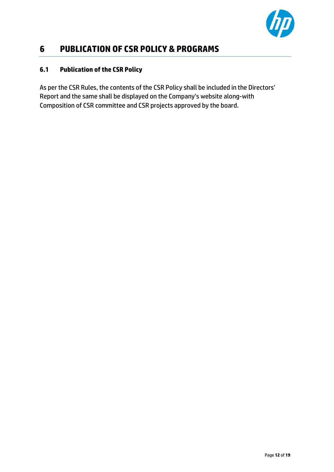

## **6 PUBLICATION OF CSR POLICY & PROGRAMS**

#### **6.1 Publication of the CSR Policy**

As per the CSR Rules, the contents of the CSR Policy shall be included in the Directors' Report and the same shall be displayed on the Company's website along-with Composition of CSR committee and CSR projects approved by the board.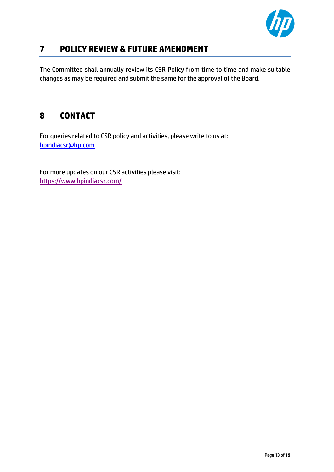

## **7 POLICY REVIEW & FUTURE AMENDMENT**

The Committee shall annually review its CSR Policy from time to time and make suitable changes as may be required and submit the same for the approval of the Board.

# **8 CONTACT**

For queries related to CSR policy and activities, please write to us at: [hpindiacsr@hp.com](mailto:hpindiacsr@hp.com)

For more updates on our CSR activities please visit: <https://www.hpindiacsr.com/>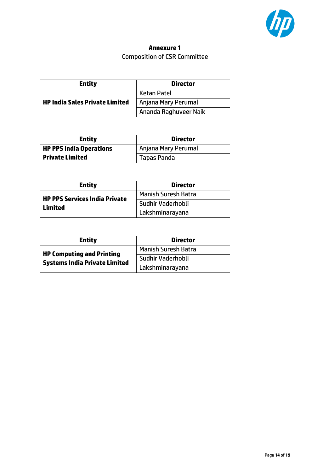

## **Annexure 1** Composition of CSR Committee

| <b>Entity</b>                         | <b>Director</b>       |  |
|---------------------------------------|-----------------------|--|
|                                       | <b>Ketan Patel</b>    |  |
| <b>HP India Sales Private Limited</b> | Anjana Mary Perumal   |  |
|                                       | Ananda Raghuveer Naik |  |

| <b>Entity</b>                  | <b>Director</b>     |  |
|--------------------------------|---------------------|--|
| <b>HP PPS India Operations</b> | Anjana Mary Perumal |  |
| Private Limited                | <b>Tapas Panda</b>  |  |

| <b>Entity</b>                 | <b>Director</b>            |
|-------------------------------|----------------------------|
| HP PPS Services India Private | <b>Manish Suresh Batra</b> |
| Limited                       | Sudhir Vaderhobli          |
|                               | Lakshminarayana            |

| <b>Entity</b>                                                            | <b>Director</b>            |  |
|--------------------------------------------------------------------------|----------------------------|--|
| <b>HP Computing and Printing</b><br><b>Systems India Private Limited</b> | <b>Manish Suresh Batra</b> |  |
|                                                                          | Sudhir Vaderhobli          |  |
|                                                                          | Lakshminarayana            |  |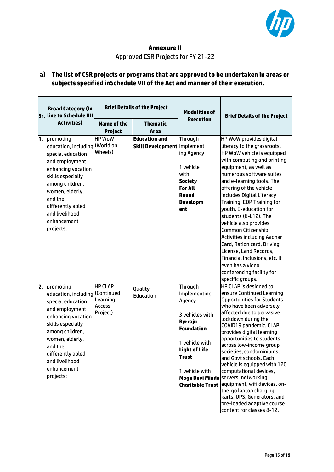

#### **Annexure II** Approved CSR Projects for FY 21-22

#### **a) The list of CSR projects or programs that are approved to be undertaken in areas or subjects specified inSchedule VII of the Act and manner oftheir execution.**

|    | <b>Broad Category (In</b><br>Sr. line to Schedule VII                                                                                                                                                                                              | <b>Brief Details of the Project</b>                     |                                                            | <b>Modalities of</b>                                                                                                                                                           | <b>Brief Details of the Project</b>                                                                                                                                                                                                                                                                                                                                                                                                                                                                                                                                                                                |
|----|----------------------------------------------------------------------------------------------------------------------------------------------------------------------------------------------------------------------------------------------------|---------------------------------------------------------|------------------------------------------------------------|--------------------------------------------------------------------------------------------------------------------------------------------------------------------------------|--------------------------------------------------------------------------------------------------------------------------------------------------------------------------------------------------------------------------------------------------------------------------------------------------------------------------------------------------------------------------------------------------------------------------------------------------------------------------------------------------------------------------------------------------------------------------------------------------------------------|
|    | <b>Activities)</b>                                                                                                                                                                                                                                 | <b>Name of the</b><br><b>Project</b>                    | <b>Thematic</b><br>Area                                    | <b>Execution</b>                                                                                                                                                               |                                                                                                                                                                                                                                                                                                                                                                                                                                                                                                                                                                                                                    |
| 1. | promoting<br>education, including (World on<br>special education<br>and employment<br>enhancing vocation<br>skills especially<br>among children,<br>women, elderly,<br>and the<br>differently abled<br>and livelihood<br>enhancement<br>projects;  | <b>HP WoW</b><br>Wheels)                                | <b>Education and</b><br><b>Skill Development Implement</b> | Through<br>ing Agency<br>1 vehicle<br>with<br><b>Society</b><br><b>For All</b><br>Round<br><b>Developm</b><br>ent                                                              | HP WoW provides digital<br>literacy to the grassroots.<br>HP WoW vehicle is equipped<br>with computing and printing<br>equipment, as well as<br>numerous software suites<br>and e-learning tools. The<br>offering of the vehicle<br>includes Digital Literacy<br>Training, EDP Training for<br>youth, E-education for<br>students (K-L12). The<br>vehicle also provides<br><b>Common Citizenship</b><br><b>Activities including Aadhar</b><br>Card, Ration card, Driving<br>License, Land Records,<br>Financial Inclusions, etc. It<br>even has a video<br>conferencing facility for<br>specific groups.           |
| 2. | promoting<br>education, including (Continued<br>special education<br>and employment<br>enhancing vocation<br>skills especially<br>among children,<br>women, elderly,<br>and the<br>differently abled<br>and livelihood<br>enhancement<br>projects; | <b>HP CLAP</b><br>Learning<br><b>Access</b><br>Project) | Quality<br>Education                                       | <b>Through</b><br>Implementing<br>Agency<br>3 vehicles with<br><b>Byrraju</b><br><b>Foundation</b><br>1 vehicle with<br><b>Light of Life</b><br><b>Trust</b><br>1 vehicle with | HP CLAP is designed to<br>ensure Continued Learning<br><b>Opportunities for Students</b><br>who have been adversely<br>affected due to pervasive<br>lockdown during the<br>COVID19 pandemic. CLAP<br>provides digital learning<br>opportunities to students<br>across low-income group<br>societies, condominiums,<br>and Govt schools. Each<br>vehicle is equipped with 120<br>computational devices,<br>Moga Devi Minda servers, networking<br>Charitable Trust equipment, wifi devices, on-<br>the-go laptop charging<br>karts, UPS, Generators, and<br>pre-loaded adaptive course<br>content for classes 8-12. |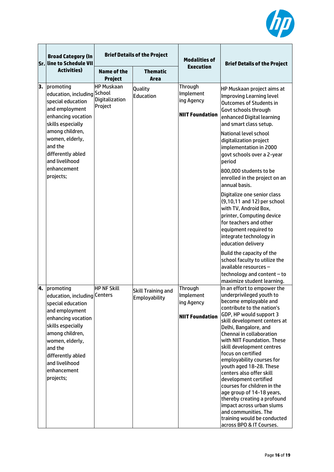

|    | <b>Broad Category (In</b><br>Sr. line to Schedule VII                                                                                                       |                                                | <b>Brief Details of the Project</b> | <b>Modalities of</b>                                         | <b>Brief Details of the Project</b>                                                                                                                                                                                                                                                                                                        |
|----|-------------------------------------------------------------------------------------------------------------------------------------------------------------|------------------------------------------------|-------------------------------------|--------------------------------------------------------------|--------------------------------------------------------------------------------------------------------------------------------------------------------------------------------------------------------------------------------------------------------------------------------------------------------------------------------------------|
|    | <b>Activities)</b>                                                                                                                                          | <b>Name of the</b><br>Project                  | <b>Thematic</b><br>Area             | <b>Execution</b>                                             |                                                                                                                                                                                                                                                                                                                                            |
| 3. | promoting<br>education, including School<br>special education<br>and employment<br>enhancing vocation<br>skills especially                                  | <b>HP Muskaan</b><br>Digitalization<br>Project | Quality<br>Education                | Through<br>Implement<br>ing Agency<br><b>NIIT Foundation</b> | HP Muskaan project aims at<br><b>Improving Learning level</b><br><b>Outcomes of Students in</b><br>Govt schools through<br>enhanced Digital learning<br>and smart class setup.                                                                                                                                                             |
|    | among children,<br>women, elderly,<br>and the<br>differently abled<br>and livelihood                                                                        |                                                |                                     |                                                              | <b>National level school</b><br>digitalization project<br>implementation in 2000<br>govt schools over a 2-year<br>period                                                                                                                                                                                                                   |
|    | enhancement<br>projects;                                                                                                                                    |                                                |                                     |                                                              | 800,000 students to be<br>enrolled in the project on an<br>annual basis.                                                                                                                                                                                                                                                                   |
|    |                                                                                                                                                             |                                                |                                     |                                                              | Digitalize one senior class<br>(9,10,11 and 12) per school<br>with TV, Android Box,<br>printer, Computing device<br>for teachers and other<br>equipment required to<br>integrate technology in<br>education delivery                                                                                                                       |
|    |                                                                                                                                                             |                                                |                                     |                                                              | Build the capacity of the<br>school faculty to utilize the<br>available resources -<br>technology and content - to<br>maximize student learning.                                                                                                                                                                                           |
| 4. | promoting                                                                                                                                                   | <b>HP NF Skill</b>                             | <b>Skill Training and</b>           | Through                                                      | In an effort to empower the                                                                                                                                                                                                                                                                                                                |
|    | education, including Centers                                                                                                                                |                                                | Employability                       | Implement                                                    | underprivileged youth to                                                                                                                                                                                                                                                                                                                   |
|    | special education<br>and employment                                                                                                                         |                                                |                                     | ing Agency                                                   | become employable and<br>contribute to the nation's                                                                                                                                                                                                                                                                                        |
|    | enhancing vocation<br>skills especially<br>among children,<br>women, elderly,<br>and the<br>differently abled<br>and livelihood<br>enhancement<br>projects; |                                                |                                     | <b>NIIT Foundation</b>                                       | GDP, HP would support 3<br>skill development centers at<br>Delhi, Bangalore, and<br>Chennai in collaboration<br>with NIIT Foundation. These<br>skill development centres<br>focus on certified<br>employability courses for<br>youth aged 18-28. These<br>centers also offer skill<br>development certified<br>courses for children in the |
|    |                                                                                                                                                             |                                                |                                     |                                                              | age group of 14-18 years,<br>thereby creating a profound<br>impact across urban slums<br>and communities. The<br>training would be conducted<br>across BPO & IT Courses.                                                                                                                                                                   |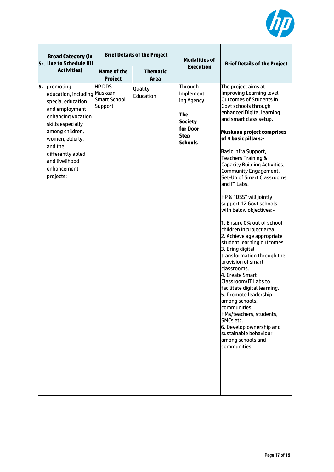

|    | <b>Broad Category (In</b><br>Sr. line to Schedule VII                                                                                                                                                                                           | <b>Brief Details of the Project</b>                    |                         | <b>Modalities of</b>                                                                                            | <b>Brief Details of the Project</b>                                                                                                                                                                                                                                                                                                                                                                                                                                                                                                                                                                                                                                                                                                                                                                                                                                                                                                                                |
|----|-------------------------------------------------------------------------------------------------------------------------------------------------------------------------------------------------------------------------------------------------|--------------------------------------------------------|-------------------------|-----------------------------------------------------------------------------------------------------------------|--------------------------------------------------------------------------------------------------------------------------------------------------------------------------------------------------------------------------------------------------------------------------------------------------------------------------------------------------------------------------------------------------------------------------------------------------------------------------------------------------------------------------------------------------------------------------------------------------------------------------------------------------------------------------------------------------------------------------------------------------------------------------------------------------------------------------------------------------------------------------------------------------------------------------------------------------------------------|
|    | <b>Activities</b> )                                                                                                                                                                                                                             | <b>Name of the</b><br><b>Project</b>                   | <b>Thematic</b><br>Area | <b>Execution</b>                                                                                                |                                                                                                                                                                                                                                                                                                                                                                                                                                                                                                                                                                                                                                                                                                                                                                                                                                                                                                                                                                    |
| 5. | promoting<br>education, including Muskaan<br>special education<br>and employment<br>enhancing vocation<br>skills especially<br>among children,<br>women, elderly,<br>and the<br>differently abled<br>and livelihood<br>enhancement<br>projects; | <b>HP DDS</b><br><b>Smart School</b><br><b>Support</b> | Quality<br>Education    | <b>Through</b><br>Implement<br>ing Agency<br><b>The</b><br>Society<br>for Door<br><b>Step</b><br><b>Schools</b> | The project aims at<br>Improving Learning level<br><b>Outcomes of Students in</b><br>Govt schools through<br>enhanced Digital learning<br>and smart class setup.<br>Muskaan project comprises<br>of 4 basic pillars:-<br>Basic Infra Support,<br><b>Teachers Training &amp;</b><br><b>Capacity Building Activities,</b><br>Community Engagement,<br>Set-Up of Smart Classrooms<br>and IT Labs.<br>HP & "DSS" will jointly<br>support 12 Govt schools<br>with below objectives:-<br>1. Ensure 0% out of school<br>children in project area<br>2. Achieve age appropriate<br>student learning outcomes<br>3. Bring digital<br>transformation through the<br>provision of smart<br>classrooms.<br>4. Create Smart<br>Classroom/IT Labs to<br>facilitate digital learning.<br>5. Promote leadership<br>among schools,<br>communities,<br>HMs/teachers, students,<br>SMCs etc.<br>6. Develop ownership and<br>sustainable behaviour<br>among schools and<br>communities |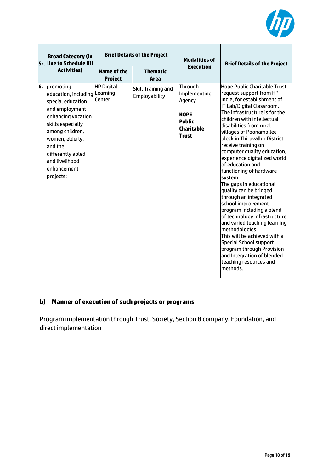

|    | <b>Broad Category (In</b><br>Sr. line to Schedule VII                                                                                                                                                                                            | <b>Brief Details of the Project</b> |                                            | <b>Modalities of</b>                                                                                   | <b>Brief Details of the Project</b>                                                                                                                                                                                                                                                                                                                                                                                                                                                                                                                                                                                                                                                                                                                                                                                    |
|----|--------------------------------------------------------------------------------------------------------------------------------------------------------------------------------------------------------------------------------------------------|-------------------------------------|--------------------------------------------|--------------------------------------------------------------------------------------------------------|------------------------------------------------------------------------------------------------------------------------------------------------------------------------------------------------------------------------------------------------------------------------------------------------------------------------------------------------------------------------------------------------------------------------------------------------------------------------------------------------------------------------------------------------------------------------------------------------------------------------------------------------------------------------------------------------------------------------------------------------------------------------------------------------------------------------|
|    | <b>Activities</b> )                                                                                                                                                                                                                              | Name of the<br><b>Project</b>       | <b>Thematic</b><br>Area                    | <b>Execution</b>                                                                                       |                                                                                                                                                                                                                                                                                                                                                                                                                                                                                                                                                                                                                                                                                                                                                                                                                        |
| 6. | promoting<br>education, including Learning<br>special education<br>and employment<br>enhancing vocation<br>skills especially<br>among children,<br>women, elderly,<br>and the<br>differently abled<br>and livelihood<br>enhancement<br>projects; | <b>HP Digital</b><br>Center         | Skill Training and<br><b>Employability</b> | Through<br>Implementing<br>Agency<br><b>HOPE</b><br><b>Public</b><br><b>Charitable</b><br><b>Trust</b> | <b>Hope Public Charitable Trust</b><br>request support from HP-<br>India, for establishment of<br>IT Lab/Digital Classroom.<br>The infrastructure is for the<br>children with intellectual<br>disabilities from rural<br>villages of Poonamallee<br>block in Thiruvallur District<br>receive training on<br>computer quality education,<br>experience digitalized world<br>of education and<br>functioning of hardware<br>system.<br>The gaps in educational<br>quality can be bridged<br>through an integrated<br>school improvement<br>program including a blend<br>of technology infrastructure<br>and varied teaching learning<br>methodologies.<br>This will be achieved with a<br><b>Special School support</b><br>program through Provision<br>and Integration of blended<br>teaching resources and<br>methods. |

## **b) Manner of execution of such projects or programs**

Program implementation through Trust, Society, Section 8 company, Foundation, and direct implementation